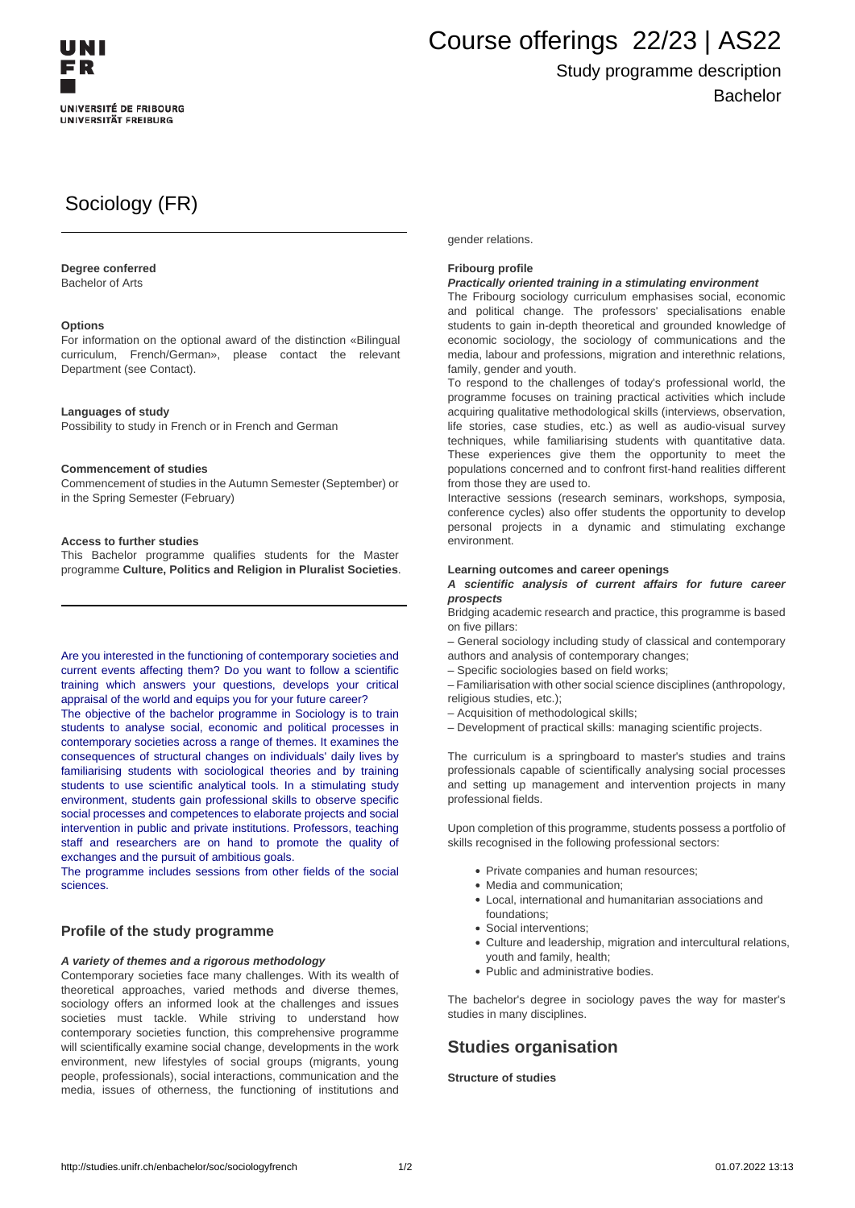

# Course offerings 22/23 | AS22

## Study programme description Bachelor

# Sociology (FR)

#### **Degree conferred**

Bachelor of Arts

#### **Options**

For information on the optional award of the distinction «Bilingual curriculum, French/German», please contact the relevant Department (see Contact).

#### **Languages of study**

Possibility to study in French or in French and German

#### **Commencement of studies**

Commencement of studies in the Autumn Semester (September) or in the Spring Semester (February)

#### **Access to further studies**

This Bachelor programme qualifies students for the Master programme **Culture, Politics and Religion in Pluralist Societies**.

Are you interested in the functioning of contemporary societies and current events affecting them? Do you want to follow a scientific training which answers your questions, develops your critical appraisal of the world and equips you for your future career?

The objective of the bachelor programme in Sociology is to train students to analyse social, economic and political processes in contemporary societies across a range of themes. It examines the consequences of structural changes on individuals' daily lives by familiarising students with sociological theories and by training students to use scientific analytical tools. In a stimulating study environment, students gain professional skills to observe specific social processes and competences to elaborate projects and social intervention in public and private institutions. Professors, teaching staff and researchers are on hand to promote the quality of exchanges and the pursuit of ambitious goals.

The programme includes sessions from other fields of the social sciences.

#### **Profile of the study programme**

#### **A variety of themes and a rigorous methodology**

Contemporary societies face many challenges. With its wealth of theoretical approaches, varied methods and diverse themes, sociology offers an informed look at the challenges and issues societies must tackle. While striving to understand how contemporary societies function, this comprehensive programme will scientifically examine social change, developments in the work environment, new lifestyles of social groups (migrants, young people, professionals), social interactions, communication and the media, issues of otherness, the functioning of institutions and gender relations.

#### **Fribourg profile**

#### **Practically oriented training in a stimulating environment**

The Fribourg sociology curriculum emphasises social, economic and political change. The professors' specialisations enable students to gain in-depth theoretical and grounded knowledge of economic sociology, the sociology of communications and the media, labour and professions, migration and interethnic relations, family, gender and youth.

To respond to the challenges of today's professional world, the programme focuses on training practical activities which include acquiring qualitative methodological skills (interviews, observation, life stories, case studies, etc.) as well as audio-visual survey techniques, while familiarising students with quantitative data. These experiences give them the opportunity to meet the populations concerned and to confront first-hand realities different from those they are used to.

Interactive sessions (research seminars, workshops, symposia, conference cycles) also offer students the opportunity to develop personal projects in a dynamic and stimulating exchange environment.

#### **Learning outcomes and career openings**

#### **A scientific analysis of current affairs for future career prospects**

Bridging academic research and practice, this programme is based on five pillars:

– General sociology including study of classical and contemporary authors and analysis of contemporary changes;

– Specific sociologies based on field works;

– Familiarisation with other social science disciplines (anthropology, religious studies, etc.);

– Acquisition of methodological skills;

– Development of practical skills: managing scientific projects.

The curriculum is a springboard to master's studies and trains professionals capable of scientifically analysing social processes and setting up management and intervention projects in many professional fields.

Upon completion of this programme, students possess a portfolio of skills recognised in the following professional sectors:

- Private companies and human resources;
- Media and communication;
- Local, international and humanitarian associations and foundations;
- Social interventions;
- Culture and leadership, migration and intercultural relations, youth and family, health;
- Public and administrative bodies.

The bachelor's degree in sociology paves the way for master's studies in many disciplines.

### **Studies organisation**

**Structure of studies**